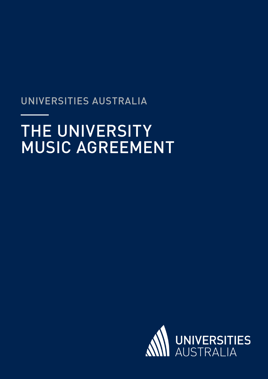## UNIVERSITIES AUSTRALIA

# THE UNIVERSITY MUSIC AGREEMENT

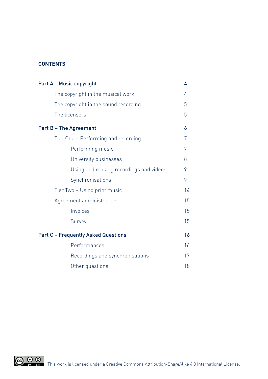### **CONTENTS**

| <b>Part A - Music copyright</b>            |    |  |
|--------------------------------------------|----|--|
| The copyright in the musical work          | 4  |  |
| The copyright in the sound recording       |    |  |
| The licensors                              | 5  |  |
| <b>Part B - The Agreement</b>              | 6  |  |
| Tier One - Performing and recording        | 7  |  |
| Performing music                           | 7  |  |
| University businesses                      | 8  |  |
| Using and making recordings and videos     | 9  |  |
| Synchronisations                           | 9  |  |
| Tier Two - Using print music               |    |  |
| Agreement administration                   |    |  |
| Invoices                                   | 15 |  |
| Survey                                     | 15 |  |
| <b>Part C - Frequently Asked Questions</b> |    |  |
| Performances                               | 16 |  |
| Recordings and synchronisations            | 17 |  |
| Other questions                            | 18 |  |

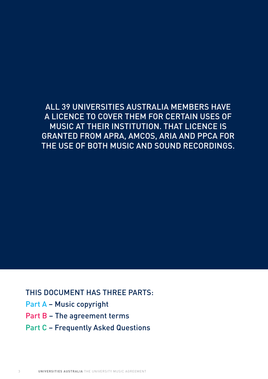## ALL 39 UNIVERSITIES AUSTRALIA MEMBERS HAVE A LICENCE TO COVER THEM FOR CERTAIN USES OF MUSIC AT THEIR INSTITUTION. THAT LICENCE IS GRANTED FROM APRA, AMCOS, ARIA AND PPCA FOR THE USE OF BOTH MUSIC AND SOUND RECORDINGS.

THIS DOCUMENT HAS THREE PARTS:

- Part A Music copyright
- Part B The agreement terms
- Part C Frequently Asked Questions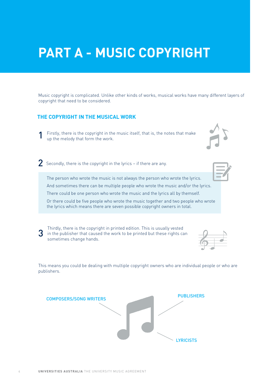## **PART A - MUSIC COPYRIGHT**

Music copyright is complicated. Unlike other kinds of works, musical works have many different layers of copyright that need to be considered.

### **THE COPYRIGHT IN THE MUSICAL WORK**

- Firstly, there is the copyright in the music itself, that is, the notes that make up the melody that form the work. 1
- $2$  Secondly, there is the copyright in the lyrics if there are any.

The person who wrote the music is not always the person who wrote the lyrics.

And sometimes there can be multiple people who wrote the music and/or the lyrics.

There could be one person who wrote the music and the lyrics all by themself.

Or there could be five people who wrote the music together and two people who wrote the lyrics which means there are seven possible copyright owners in total.

Thirdly, there is the copyright in printed edition. This is usually vested 3 in the publisher that caused the work to be printed but these rights can sometimes change hands.

This means you could be dealing with multiple copyright owners who are individual people or who are publishers.

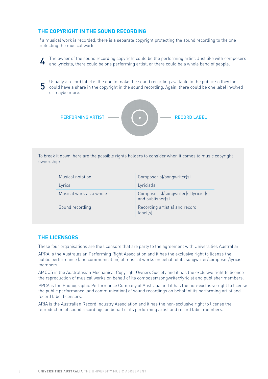#### **THE COPYRIGHT IN THE SOUND RECORDING**

If a musical work is recorded, there is a separate copyright protecting the sound recording to the one protecting the musical work.

The owner of the sound recording copyright could be the performing artist. Just like with composers and lyricists, there could be one performing artist, or there could be a whole band of people.

5 Usually a record label is the one to make the sound recording available to the public so they too could have a share in the copyright in the sound recording. Again, there could be one label involved or maybe more.



To break it down, here are the possible rights holders to consider when it comes to music copyright ownership:

| <b>Musical notation</b> | Composer(s)/songwriter(s)                                 |
|-------------------------|-----------------------------------------------------------|
| Lyrics                  | Lyricist(s)                                               |
| Musical work as a whole | Composer(s)/songwriter(s) lyricist(s)<br>and publisher(s) |
| Sound recording         | Recording artist(s) and record<br>label(s)                |

#### **THE LICENSORS**

These four organisations are the licensors that are party to the agreement with Universities Australia:

APRA is the Australasian Performing Right Association and it has the exclusive right to license the public performance (and communication) of musical works on behalf of its songwriter/composer/lyricist members.

AMCOS is the Australasian Mechanical Copyright Owners Society and it has the exclusive right to license the reproduction of musical works on behalf of its composer/songwriter/lyricist and publisher members.

PPCA is the Phonographic Performance Company of Australia and it has the non-exclusive right to license the public performance (and communication) of sound recordings on behalf of its performing artist and record label licensors.

ARIA is the Australian Record Industry Association and it has the non-exclusive right to license the reproduction of sound recordings on behalf of its performing artist and record label members.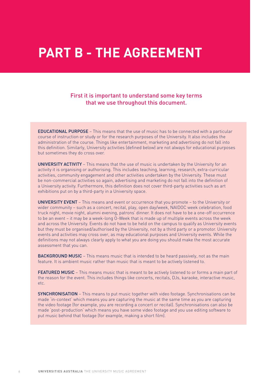## **PART B - THE AGREEMENT**

### First it is important to understand some key terms that we use throughout this document.

EDUCATIONAL PURPOSE – This means that the use of music has to be connected with a particular course of instruction or study or for the research purposes of the University. It also includes the administration of the course. Things like entertainment, marketing and advertising do not fall into this definition. Similarly, University activities (defined below) are not always for educational purposes but sometimes they do cross over.

UNIVERSITY ACTIVITY – This means that the use of music is undertaken by the University for an activity it is organising or authorising. This includes teaching, learning, research, extra-curricular activities, community engagement and other activities undertaken by the University. These must be non-commercial activities so again, advertising and marketing do not fall into the definition of a University activity. Furthermore, this definition does not cover third-party activities such as art exhibitions put on by a third-party in a University space.

UNIVERSITY EVENT – This means and event or occurrence that you promote – to the University or wider community – such as a concert, recital, play, open day/week, NAIDOC week celebration, food truck night, movie night, alumni evening, patrons' dinner. It does not have to be a one-off occurrence to be an event – it may be a week-long O-Week that is made up of multiple events across the week and across the University. Events do not have to be held on the campus to qualify as University events but they must be organised/authorised by the University, not by a third party or a promotor. University events and activities may cross over, as may educational purposes and University events. While the definitions may not always clearly apply to what you are doing you should make the most accurate assessment that you can.

**BACKGROUND MUSIC** – This means music that is intended to be heard passively, not as the main feature. It is ambient music rather than music that is meant to be actively listened to.

**FEATURED MUSIC** – This means music that is meant to be actively listened to or forms a main part of the reason for the event. This includes things like concerts, recitals, DJs, karaoke, interactive music, etc.

SYNCHRONISATION – This means to put music together with video footage. Synchronisations can be made 'in-context' which means you are capturing the music at the same time as you are capturing the video footage (for example, you are recording a concert or recital). Synchronisations can also be made 'post-production' which means you have some video footage and you use editing software to put music behind that footage (for example, making a short film).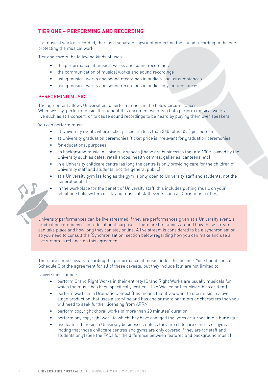### **TIER ONE – PERFORMING AND RECORDING**

If a musical work is recorded, there is a separate copyright protecting the sound recording to the one protecting the musical work.

Tier one covers the following kinds of uses:

- the performance of musical works and sound recordings
- the communication of musical works and sound recordings
- using musical works and sound recordings in audio-visual circumstances
- using musical works and sound recordings in audio-only circumstances.

#### PERFORMING MUSIC

The agreement allows Universities to perform music in the below circumstances. When we say 'perform music' throughout this document we mean both perform musical works live such as at a concert, or to cause sound recordings to be heard by playing them over speakers.

You can perform music:

- at University events where ticket prices are less than \$40 (plus GST) per person
- at University graduation ceremonies (ticket price is irrelevant for graduation ceremonies)
- for educational purposes
- as background music in University spaces (these are businesses that are 100% owned by the University such as cafes, retail shops, health centres, galleries, canteens, etc)
- in a University childcare centre (as long the centre is only providing care for the children of University staff and students, not the general public)
- at a University gym (as long as the gym is only open to University staff and students, not the general public)
- in the workplace for the benefit of University staff (this includes putting music on your telephone hold system or playing music at staff events such as Christmas parties).

University performances can be live streamed if they are performances given at a University event, a graduation ceremony or for educational purposes. There are limitations around how these streams can take place and how long they can stay online. A live stream is considered to be a synchronisation so you need to consult the 'Synchronisation' section below regarding how you can make and use a live stream in reliance on this agreement.

There are some caveats regarding the performance of music under this licence. You should consult Schedule G of the agreement for all of these caveats, but they include (but are not limited to)

Universities cannot:

- perform Grand Right Works in their entirety (Grand Right Works are usually musicals for which the music has been specifically written – like Wicked or Les Miserables or Rent)
- perform works in a Dramatic Context (this means that if you want to use music in a live stage production that uses a storyline and has one or more narrators or characters then you will need to seek further licensing from APRA)
- perform copyright choral works of more than 20 minutes' duration
- perform any copyright work to which they have changed the lyrics or turned into a burlesque
- use featured music in University businesses unless they are childcare centres or gyms (noting that those childcare centres and gyms are only covered if they are for staff and students only) (See the FAQs for the difference between featured and background music)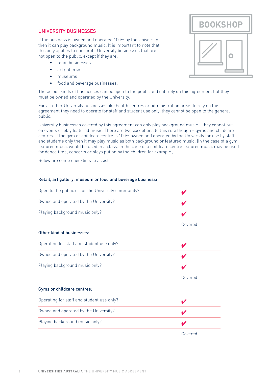#### UNIVERSITY BUSINESSES

If the business is owned and operated 100% by the University then it can play background music. It is important to note that this only applies to non-profit University businesses that are not open to the public, except if they are:

- retail businesses
- art galleries
- museums
- food and beverage businesses.

These four kinds of businesses can be open to the public and still rely on this agreement but they must be owned and operated by the University.

For all other University businesses like health centres or administration areas to rely on this agreement they need to operate for staff and student use only, they cannot be open to the general public.

University businesses covered by this agreement can only play background music – they cannot put on events or play featured music. There are two exceptions to this rule though – gyms and childcare centres. If the gym or childcare centre is 100% owned and operated by the University for use by staff and students only then it may play music as both background or featured music. (In the case of a gym featured music would be used in a class. In the case of a childcare centre featured music may be used for dance time, concerts or plays put on by the children for example.)

Below are some checklists to assist.

#### Retail, art gallery, museum or food and beverage business:

| Open to the public or for the University community? |          |  |
|-----------------------------------------------------|----------|--|
| Owned and operated by the University?               |          |  |
| Playing background music only?                      |          |  |
|                                                     | Covered! |  |
| Other kind of businesses:                           |          |  |
| Operating for staff and student use only?           |          |  |
| Owned and operated by the University?               |          |  |
| Playing background music only?                      |          |  |
|                                                     | Covered! |  |
| Gyms or childcare centres:                          |          |  |
| Operating for staff and student use only?           |          |  |
| Owned and operated by the University?               |          |  |
| Playing background music only?                      |          |  |
|                                                     | Covered! |  |

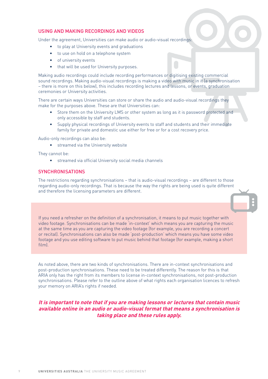#### USING AND MAKING RECORDINGS AND VIDEOS

Under the agreement, Universities can make audio or audio-visual recordings:

- to play at University events and graduations
- to use on hold on a telephone system
- of university events
- that will be used for University purposes.

Making audio recordings could include recording performances or digitising existing commercial sound recordings. Making audio-visual recordings is making a video with music in it (a synchronisation – there is more on this below), this includes recording lectures and lessons, or events, graduation ceremonies or University activities.

There are certain ways Universities can store or share the audio and audio-visual recordings they make for the purposes above. These are that Universities can:

- Store them on the University LMS or other system as long as it is password protected and only accessible by staff and students.
- Supply physical recordings of University events to staff and students and their immediate family for private and domestic use either for free or for a cost recovery price.

Audio-only recordings can also be:

• streamed via the University website

They cannot be:

• streamed via official University social media channels

#### **SYNCHRONISATIONS**

The restrictions regarding synchronisations – that is audio-visual recordings – are different to those regarding audio-only recordings. That is because the way the rights are being used is quite different and therefore the licensing parameters are different.

If you need a refresher on the definition of a synchronisation, it means to put music together with video footage. Synchronisations can be made 'in-context' which means you are capturing the music at the same time as you are capturing the video footage (for example, you are recording a concert or recital). Synchronisations can also be made 'post-production' which means you have some video footage and you use editing software to put music behind that footage (for example, making a short film).

As noted above, there are two kinds of synchronisations. There are in-context synchronisations and post-production synchronisations. These need to be treated differently. The reason for this is that ARIA only has the right from its members to license in-context synchronisations, not post-production synchronisations. Please refer to the outline above of what rights each organisation licences to refresh your memory on ARIA's rights if needed.

#### **It is important to note that if you are making lessons or lectures that contain music available online in an audio or audio-visual format that means a synchronisation is taking place and these rules apply.**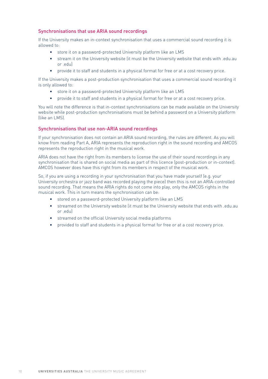#### Synchronisations that use ARIA sound recordings

If the University makes an in-context synchronisation that uses a commercial sound recording it is allowed to:

- store it on a password-protected University platform like an LMS
- stream it on the University website (it must be the University website that ends with .edu.au or .edu)
- provide it to staff and students in a physical format for free or at a cost recovery price.

If the University makes a post-production synchronisation that uses a commercial sound recording it is only allowed to:

- store it on a password-protected University platform like an LMS
- provide it to staff and students in a physical format for free or at a cost recovery price.

You will note the difference is that in-context synchronisations can be made available on the University website while post-production synchronisations must be behind a password on a University platform (like an LMS).

#### Synchronisations that use non-ARIA sound recordings

If your synchronisation does not contain an ARIA sound recording, the rules are different. As you will know from reading Part A, ARIA represents the reproduction right in the sound recording and AMCOS represents the reproduction right in the musical work.

ARIA does not have the right from its members to license the use of their sound recordings in any synchronisation that is shared on social media as part of this licence (post-production or in-context). AMCOS however does have this right from its members in respect of the musical work.

So, if you are using a recording in your synchronisation that you have made yourself (e.g. your University orchestra or jazz band was recorded playing the piece) then this is not an ARIA-controlled sound recording. That means the ARIA rights do not come into play, only the AMCOS rights in the musical work. This in turn means the synchronisation can be:

- stored on a password-protected University platform like an LMS
- streamed on the University website (it must be the University website that ends with .edu.au  $or$   $edul$
- streamed on the official University social media platforms
- provided to staff and students in a physical format for free or at a cost recovery price.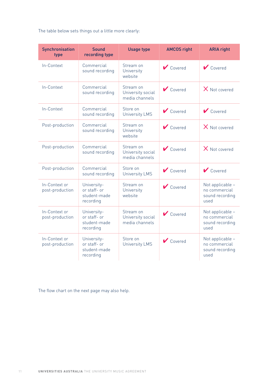The table below sets things out a little more clearly:

| Synchronisation<br>type          | <b>Sound</b><br>recording type                           | <b>Usage type</b>                                | <b>AMCOS right</b>       | <b>ARIA right</b>                                            |
|----------------------------------|----------------------------------------------------------|--------------------------------------------------|--------------------------|--------------------------------------------------------------|
| In-Context                       | Commercial<br>sound recording                            | Stream on<br>University<br>website               | $\triangleright$ Covered | $\triangleright$ Covered                                     |
| In-Context                       | Commercial<br>sound recording                            | Stream on<br>University social<br>media channels | $\triangleright$ Covered | X Not covered                                                |
| In-Context                       | Commercial<br>sound recording                            | Store on<br><b>University LMS</b>                | Covered                  | $\triangleright$ Covered                                     |
| Post-production                  | Commercial<br>sound recording                            | Stream on<br>University<br>website               | $\triangleright$ Covered | $X$ Not covered                                              |
| Post-production                  | Commercial<br>sound recording                            | Stream on<br>University social<br>media channels | $\triangleright$ Covered | $X$ Not covered                                              |
| Post-production                  | Commercial<br>sound recording                            | Store on<br><b>University LMS</b>                | $\triangleright$ Covered | $\bigvee$ Covered                                            |
| In-Context or<br>post-production | University-<br>or staff- or<br>student-made<br>recording | Stream on<br>University<br>website               | $\triangleright$ Covered | Not applicable -<br>no commercial<br>sound recording<br>used |
| In-Context or<br>post-production | University-<br>or staff- or<br>student-made<br>recording | Stream on<br>University social<br>media channels | $\triangleright$ Covered | Not applicable -<br>no commercial<br>sound recording<br>used |
| In-Context or<br>post-production | University-<br>or staff- or<br>student-made<br>recording | Store on<br><b>University LMS</b>                | $\triangleright$ Covered | Not applicable -<br>no commercial<br>sound recording<br>used |

The flow chart on the next page may also help.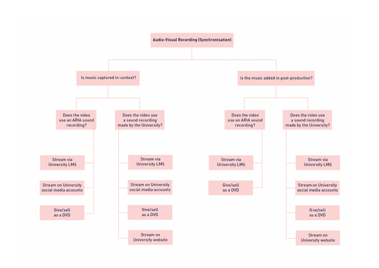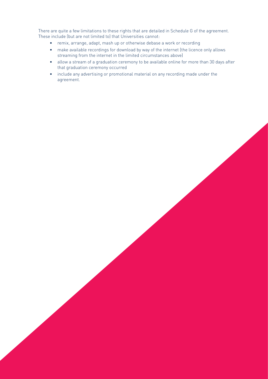There are quite a few limitations to these rights that are detailed in Schedule G of the agreement. These include (but are not limited to) that Universities cannot:

- remix, arrange, adapt, mash up or otherwise debase a work or recording
- make available recordings for download by way of the internet (the licence only allows streaming from the internet in the limited circumstances above)
- allow a stream of a graduation ceremony to be available online for more than 30 days after that graduation ceremony occurred
- include any advertising or promotional material on any recording made under the agreement.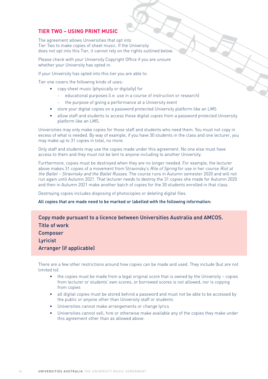#### **TIER TWO – USING PRINT MUSIC**

The agreement allows Universities that opt into Tier Two to make copies of sheet music. If the University does not opt into this Tier, it cannot rely on the rights outlined below.

Please check with your University Copyright Office if you are unsure whether your University has opted in.

If your University has opted into this tier you are able to:

Tier one covers the following kinds of uses:

- copy sheet music (physically or digitally) for
	- educational purposes (i.e. use in a course of instruction or research)
	- the purpose of giving a performance at a University event
- store your digital copies on a password protected University platform like an LMS
- allow staff and students to access those digital copies from a password protected University platform like an LMS.

Universities may only make copies for those staff and students who need them. You must not copy in excess of what is needed. By way of example, if you have 30 students in the class and one lecturer, you may make up to 31 copies in total, no more.

Only staff and students may use the copies made under this agreement. No one else must have access to them and they must not be lent to anyone including to another University.

Furthermore, copies must be destroyed when they are no longer needed. For example, the lecturer above makes 31 copies of a movement from Stravinsky's Rite of Spring for use in her course Riot at the Ballet - Stravinsky and the Ballet Russes. The course runs in Autumn semester 2020 and will not run again until Autumn 2021. That lecturer needs to destroy the 31 copies she made for Autumn 2020 and then in Autumn 2021 make another batch of copies for the 30 students enrolled in that class.

Destroying copies includes disposing of photocopies or deleting digital files.

#### All copies that are made need to be marked or labelled with the following information:

Copy made pursuant to a licence between Universities Australia and AMCOS. Title of work Composer Lyricist Arranger (if applicable)

There are a few other restrictions around how copies can be made and used. They include (but are not limited to):

- the copies must be made from a legal original score that is owned by the University copies from lecturer or students' own scores, or borrowed scores is not allowed, nor is copying from copies
- all digital copies must be stored behind a password and must not be able to be accessed by the public or anyone other than University staff or students
- Universities cannot make arrangements or change lyrics
- Universities cannot sell, hire or otherwise make available any of the copies they make under this agreement other than as allowed above.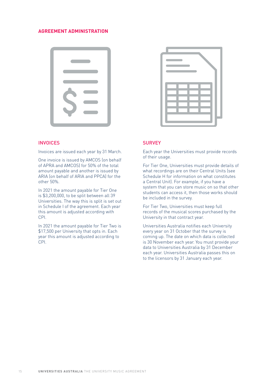#### **AGREEMENT ADMINISTRATION**



#### **INVOICES**

Invoices are issued each year by 31 March.

One invoice is issued by AMCOS (on behalf of APRA and AMCOS) for 50% of the total amount payable and another is issued by ARIA (on behalf of ARIA and PPCA) for the other 50%.

In 2021 the amount payable for Tier One is \$3,200,000, to be split between all 39 Universities. The way this is split is set out in Schedule I of the agreement. Each year this amount is adjusted according with CPI.

In 2021 the amount payable for Tier Two is \$17,500 per University that opts in. Each year this amount is adjusted according to CPI.



#### **SURVEY**

Each year the Universities must provide records of their usage.

For Tier One, Universities must provide details of what recordings are on their Central Units (see Schedule H for information on what constitutes a Central Unit). For example, if you have a system that you can store music on so that other students can access it, then those works should be included in the survey.

For Tier Two, Universities must keep full records of the musical scores purchased by the University in that contract year.

Universities Australia notifies each University every year on 31 October that the survey is coming up. The date on which data is collected is 30 November each year. You must provide your data to Universities Australia by 31 December each year. Universities Australia passes this on to the licensors by 31 January each year.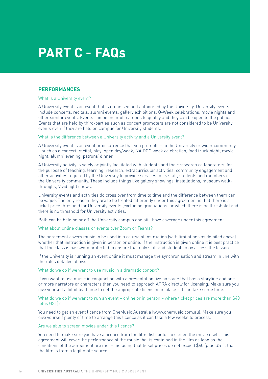## **PART C - FAQs**

#### **PERFORMANCES**

#### What is a University event?

A University event is an event that is organised and authorised by the University. University events include concerts, recitals, alumni events, gallery exhibitions, O-Week celebrations, movie nights and other similar events. Events can be on or off campus to qualify and they can be open to the public. Events that are held by third-parties such as concert promoters are not considered to be University events even if they are held on campus for University students.

#### What is the difference between a University activity and a University event?

A University event is an event or occurrence that you promote – to the University or wider community – such as a concert, recital, play, open day/week, NAIDOC week celebration, food truck night, movie night, alumni evening, patrons' dinner.

A University activity is solely or jointly facilitated with students and their research collaborators, for the purpose of teaching, learning, research, extracurricular activities, community engagement and other activities required by the University to provide services to its staff, students and members of the University community. These include things like gallery showings, installations, museum walkthroughs, Vivid light shows.

University events and activities do cross over from time to time and the difference between them can be vague. The only reason they are to be treated differently under this agreement is that there is a ticket price threshold for University events (excluding graduations for which there is no threshold) and there is no threshold for University activities.

Both can be held on or off the University campus and still have coverage under this agreement.

What about online classes or events over Zoom or Teams?

The agreement covers music to be used in a course of instruction (with limitations as detailed above) whether that instruction is given in person or online. If the instruction is given online it is best practice that the class is password protected to ensure that only staff and students may access the lesson.

If the University is running an event online it must manage the synchronisation and stream in line with the rules detailed above.

#### What do we do if we want to use music in a dramatic context?

If you want to use music in conjunction with a presentation live on stage that has a storyline and one or more narrators or characters then you need to approach APRA directly for licensing. Make sure you give yourself a lot of lead time to get the appropriate licensing in place – it can take some time.

What do we do if we want to run an event – online or in person – where ticket prices are more than \$40 (plus GST)?

You need to get an event licence from OneMusic Australia (www.onemusic.com.au). Make sure you give yourself plenty of time to arrange this licence as it can take a few weeks to process.

#### Are we able to screen movies under this licence?

You need to make sure you have a licence from the film distributor to screen the movie itself. This agreement will cover the performance of the music that is contained in the film as long as the conditions of the agreement are met – including that ticket prices do not exceed \$40 (plus GST), that the film is from a legitimate source.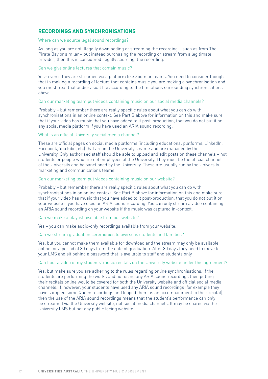#### **RECORDINGS AND SYNCHRONISATIONS**

#### Where can we source legal sound recordings?

As long as you are not illegally downloading or streaming the recording – such as from The Pirate Bay or similar – but instead purchasing the recording or stream from a legitimate provider, then this is considered 'legally sourcing' the recording.

#### Can we give online lectures that contain music?

Yes– even if they are streamed via a platform like Zoom or Teams. You need to consider though that in making a recording of lecture that contains music you are making a synchronisation and you must treat that audio-visual file according to the limitations surrounding synchronisations above.

#### Can our marketing team put videos containing music on our social media channels?

Probably – but remember there are really specific rules about what you can do with synchronisations in an online context. See Part B above for information on this and make sure that if your video has music that you have added to it post-production, that you do not put it on any social media platform if you have used an ARIA sound recording.

#### What is an official University social media channel?

These are official pages on social media platforms (including educational platforms, LinkedIn, Facebook, YouTube, etc) that are in the University's name and are managed by the University. Only authorised staff should be able to upload and edit posts on these channels – not students or people who are not employees of the University. They must be the official channel of the University and be sanctioned by the University. These are usually run by the University marketing and communications teams.

#### Can our marketing team put videos containing music on our website?

Probably – but remember there are really specific rules about what you can do with synchronisations in an online context. See Part B above for information on this and make sure that if your video has music that you have added to it post-production, that you do not put it on your website if you have used an ARIA sound recording. You can only stream a video containing an ARIA sound recording on your website if the music was captured in-context.

Can we make a playlist available from our website?

Yes – you can make audio-only recordings available from your website.

#### Can we stream graduation ceremonies to overseas students and families?

Yes, but you cannot make them available for download and the stream may only be available online for a period of 30 days from the date of graduation. After 30 days they need to move to your LMS and sit behind a password that is available to staff and students only.

#### Can I put a video of my students' music recitals on the University website under this agreement?

Yes, but make sure you are adhering to the rules regarding online synchronisations. If the students are performing the works and not using any ARIA sound recordings then putting their recitals online would be covered for both the University website and official social media channels. If, however, your students have used any ARIA sound recordings (for example they have sampled some Queen recordings and looped them as an accompaniment to their recital), then the use of the ARIA sound recordings means that the student's performance can only be streamed via the University website, not social media channels. It may be shared via the University LMS but not any public facing website.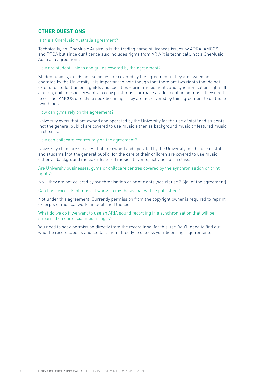#### **OTHER QUESTIONS**

#### Is this a OneMusic Australia agreement?

Technically, no. OneMusic Australia is the trading name of licences issues by APRA, AMCOS and PPCA but since our licence also includes rights from ARIA it is technically not a OneMusic Australia agreement.

#### How are student unions and guilds covered by the agreement?

Student unions, guilds and societies are covered by the agreement if they are owned and operated by the University. It is important to note though that there are two rights that do not extend to student unions, guilds and societies – print music rights and synchronisation rights. If a union, guild or society wants to copy print music or make a video containing music they need to contact AMCOS directly to seek licensing. They are not covered by this agreement to do those two things.

#### How can gyms rely on the agreement?

University gyms that are owned and operated by the University for the use of staff and students (not the general public) are covered to use music either as background music or featured music in classes.

#### How can childcare centres rely on the agreement?

University childcare services that are owned and operated by the University for the use of staff and students (not the general public) for the care of their children are covered to use music either as background music or featured music at events, activities or in class.

Are University businesses, gyms or childcare centres covered by the synchronisation or print rights?

No – they are not covered by synchronisation or print rights (see clause 3.3(a) of the agreement).

Can I use excerpts of musical works in my thesis that will be published?

Not under this agreement. Currently permission from the copyright owner is required to reprint excerpts of musical works in published theses.

What do we do if we want to use an ARIA sound recording in a synchronisation that will be streamed on our social media pages?

You need to seek permission directly from the record label for this use. You'll need to find out who the record label is and contact them directly to discuss your licensing requirements.